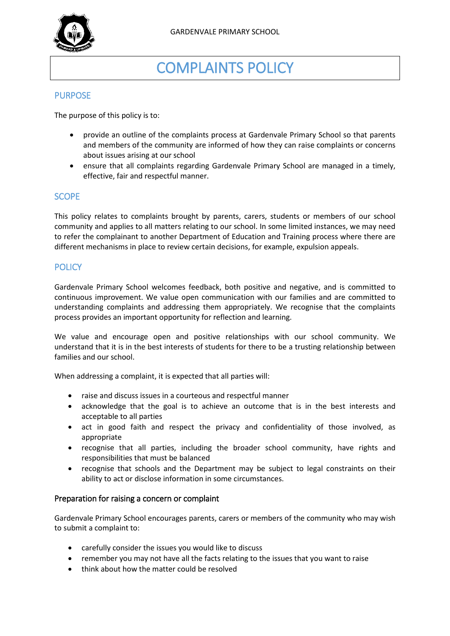

# COMPLAINTS POLICY

## **PURPOSE**

The purpose of this policy is to:

- provide an outline of the complaints process at Gardenvale Primary School so that parents and members of the community are informed of how they can raise complaints or concerns about issues arising at our school
- ensure that all complaints regarding Gardenvale Primary School are managed in a timely, effective, fair and respectful manner.

## **SCOPE**

This policy relates to complaints brought by parents, carers, students or members of our school community and applies to all matters relating to our school. In some limited instances, we may need to refer the complainant to another Department of Education and Training process where there are different mechanisms in place to review certain decisions, for example, expulsion appeals.

## **POLICY**

Gardenvale Primary School welcomes feedback, both positive and negative, and is committed to continuous improvement. We value open communication with our families and are committed to understanding complaints and addressing them appropriately. We recognise that the complaints process provides an important opportunity for reflection and learning.

We value and encourage open and positive relationships with our school community. We understand that it is in the best interests of students for there to be a trusting relationship between families and our school.

When addressing a complaint, it is expected that all parties will:

- raise and discuss issues in a courteous and respectful manner
- acknowledge that the goal is to achieve an outcome that is in the best interests and acceptable to all parties
- act in good faith and respect the privacy and confidentiality of those involved, as appropriate
- recognise that all parties, including the broader school community, have rights and responsibilities that must be balanced
- recognise that schools and the Department may be subject to legal constraints on their ability to act or disclose information in some circumstances.

### Preparation for raising a concern or complaint

Gardenvale Primary School encourages parents, carers or members of the community who may wish to submit a complaint to:

- carefully consider the issues you would like to discuss
- remember you may not have all the facts relating to the issues that you want to raise
- think about how the matter could be resolved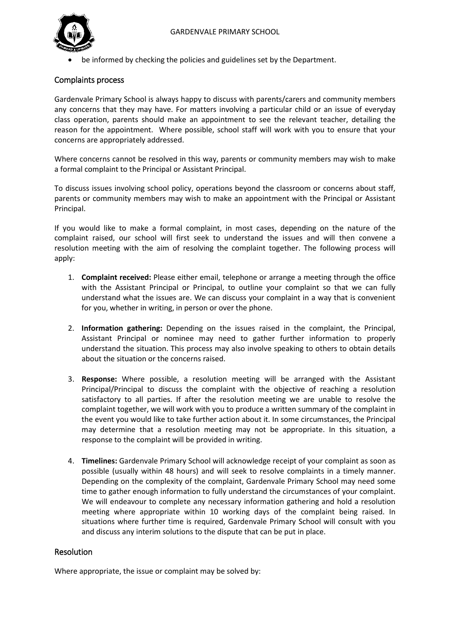

be informed by checking the policies and guidelines set by the Department.

### Complaints process

Gardenvale Primary School is always happy to discuss with parents/carers and community members any concerns that they may have. For matters involving a particular child or an issue of everyday class operation, parents should make an appointment to see the relevant teacher, detailing the reason for the appointment. Where possible, school staff will work with you to ensure that your concerns are appropriately addressed.

Where concerns cannot be resolved in this way, parents or community members may wish to make a formal complaint to the Principal or Assistant Principal.

To discuss issues involving school policy, operations beyond the classroom or concerns about staff, parents or community members may wish to make an appointment with the Principal or Assistant Principal.

If you would like to make a formal complaint, in most cases, depending on the nature of the complaint raised, our school will first seek to understand the issues and will then convene a resolution meeting with the aim of resolving the complaint together. The following process will apply:

- 1. **Complaint received:** Please either email, telephone or arrange a meeting through the office with the Assistant Principal or Principal, to outline your complaint so that we can fully understand what the issues are. We can discuss your complaint in a way that is convenient for you, whether in writing, in person or over the phone.
- 2. **Information gathering:** Depending on the issues raised in the complaint, the Principal, Assistant Principal or nominee may need to gather further information to properly understand the situation. This process may also involve speaking to others to obtain details about the situation or the concerns raised.
- 3. **Response:** Where possible, a resolution meeting will be arranged with the Assistant Principal/Principal to discuss the complaint with the objective of reaching a resolution satisfactory to all parties. If after the resolution meeting we are unable to resolve the complaint together, we will work with you to produce a written summary of the complaint in the event you would like to take further action about it. In some circumstances, the Principal may determine that a resolution meeting may not be appropriate. In this situation, a response to the complaint will be provided in writing.
- 4. **Timelines:** Gardenvale Primary School will acknowledge receipt of your complaint as soon as possible (usually within 48 hours) and will seek to resolve complaints in a timely manner. Depending on the complexity of the complaint, Gardenvale Primary School may need some time to gather enough information to fully understand the circumstances of your complaint. We will endeavour to complete any necessary information gathering and hold a resolution meeting where appropriate within 10 working days of the complaint being raised. In situations where further time is required, Gardenvale Primary School will consult with you and discuss any interim solutions to the dispute that can be put in place.

### Resolution

Where appropriate, the issue or complaint may be solved by: